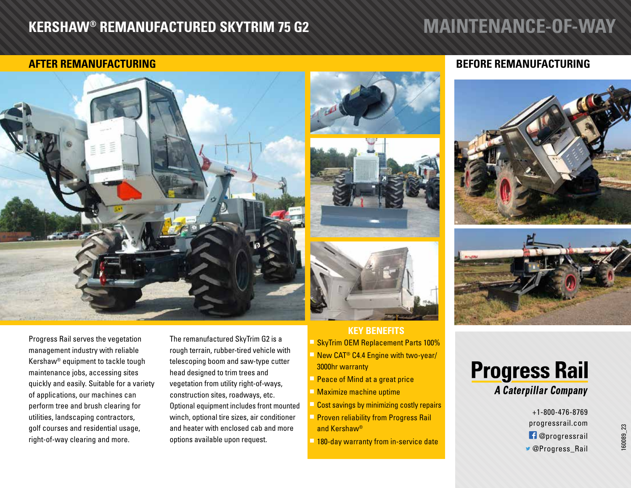## **KERSHAW® REMANUFACTURED SKYTRIM 75 G2**

## **MAINTENANCE-OF-WAY**



Progress Rail serves the vegetation management industry with reliable Kershaw® equipment to tackle tough maintenance jobs, accessing sites quickly and easily. Suitable for a variety of applications, our machines can perform tree and brush clearing for utilities, landscaping contractors, golf courses and residential usage, right-of-way clearing and more.

The remanufactured SkyTrim G2 is a rough terrain, rubber-tired vehicle with telescoping boom and saw-type cutter head designed to trim trees and vegetation from utility right-of-ways, construction sites, roadways, etc. Optional equipment includes front mounted winch, optional tire sizes, air conditioner and heater with enclosed cab and more options available upon request.

#### **KEY BENEFITS**

**F** SkyTrim OEM Replacement Parts 100%  $\blacksquare$  New CAT<sup>®</sup> C4.4 Engine with two-year/

- 3000hr warranty
- **Peace of Mind at a great price**
- $\blacksquare$  Maximize machine uptime
- **Cost savings by minimizing costly repairs**
- **Proven reliability from Progress Rail** and Kershaw®
- **h 180-day warranty from in-service date**

### **AFTER REMANUFACTURING BEFORE REMANUFACTURING**





# **Progress Rail**

**A Caterpillar Company** 

+1-800-476-8769 progressrail.com **f** @progressrail *S* @Progress Rail